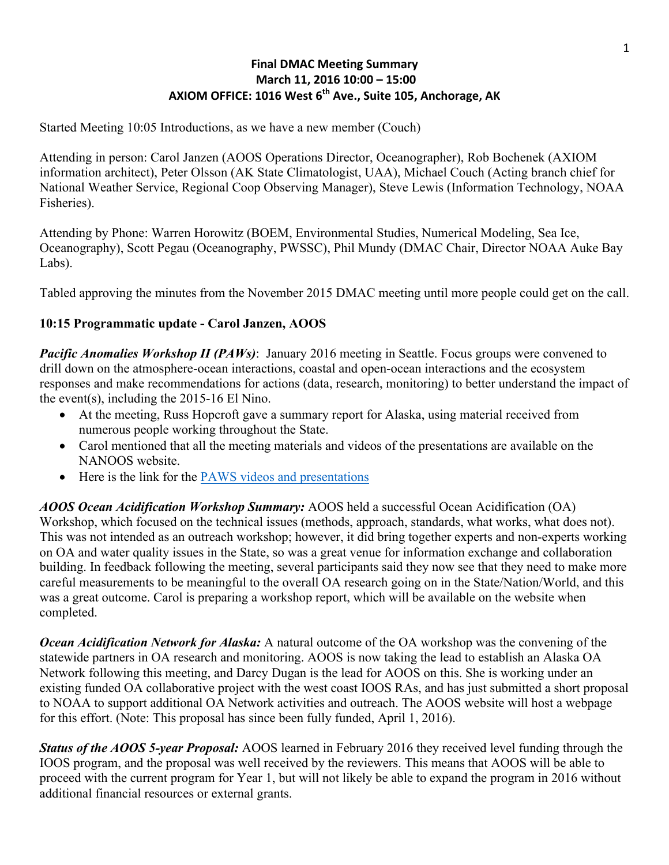#### **Final DMAC Meeting Summary March 11, 2016 10:00 – 15:00** AXIOM OFFICE: 1016 West 6<sup>th</sup> Ave., Suite 105, Anchorage. AK

Started Meeting 10:05 Introductions, as we have a new member (Couch)

Attending in person: Carol Janzen (AOOS Operations Director, Oceanographer), Rob Bochenek (AXIOM information architect), Peter Olsson (AK State Climatologist, UAA), Michael Couch (Acting branch chief for National Weather Service, Regional Coop Observing Manager), Steve Lewis (Information Technology, NOAA Fisheries).

Attending by Phone: Warren Horowitz (BOEM, Environmental Studies, Numerical Modeling, Sea Ice, Oceanography), Scott Pegau (Oceanography, PWSSC), Phil Mundy (DMAC Chair, Director NOAA Auke Bay Labs).

Tabled approving the minutes from the November 2015 DMAC meeting until more people could get on the call.

#### **10:15 Programmatic update - Carol Janzen, AOOS**

*Pacific Anomalies Workshop II (PAWs)*: January 2016 meeting in Seattle. Focus groups were convened to drill down on the atmosphere-ocean interactions, coastal and open-ocean interactions and the ecosystem responses and make recommendations for actions (data, research, monitoring) to better understand the impact of the event(s), including the 2015-16 El Nino.

- At the meeting, Russ Hopcroft gave a summary report for Alaska, using material received from numerous people working throughout the State.
- Carol mentioned that all the meeting materials and videos of the presentations are available on the NANOOS website.
- Here is the link for the [PAWS videos and presentations](http://www.nanoos.org/resources/anomalies_workshop/workshop2.php)

*AOOS Ocean Acidification Workshop Summary:* AOOS held a successful Ocean Acidification (OA) Workshop, which focused on the technical issues (methods, approach, standards, what works, what does not). This was not intended as an outreach workshop; however, it did bring together experts and non-experts working on OA and water quality issues in the State, so was a great venue for information exchange and collaboration building. In feedback following the meeting, several participants said they now see that they need to make more careful measurements to be meaningful to the overall OA research going on in the State/Nation/World, and this was a great outcome. Carol is preparing a workshop report, which will be available on the website when completed.

*Ocean Acidification Network for Alaska:* A natural outcome of the OA workshop was the convening of the statewide partners in OA research and monitoring. AOOS is now taking the lead to establish an Alaska OA Network following this meeting, and Darcy Dugan is the lead for AOOS on this. She is working under an existing funded OA collaborative project with the west coast IOOS RAs, and has just submitted a short proposal to NOAA to support additional OA Network activities and outreach. The AOOS website will host a webpage for this effort. (Note: This proposal has since been fully funded, April 1, 2016).

*Status of the AOOS 5-year Proposal:* AOOS learned in February 2016 they received level funding through the IOOS program, and the proposal was well received by the reviewers. This means that AOOS will be able to proceed with the current program for Year 1, but will not likely be able to expand the program in 2016 without additional financial resources or external grants.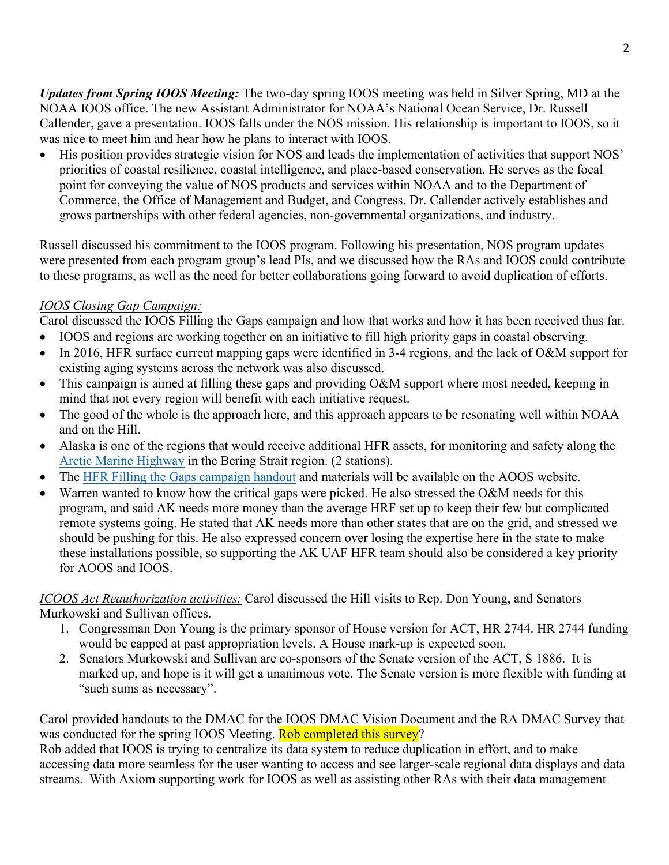*Updates from Spring IOOS Meeting:* The two-day spring IOOS meeting was held in Silver Spring, MD at the NOAA IOOS office. The new Assistant Administrator for NOAA's National Ocean Service, Dr. Russell Callender, gave a presentation. IOOS falls under the NOS mission. His relationship is important to IOOS, so it was nice to meet him and hear how he plans to interact with IOOS.

• His position provides strategic vision for NOS and leads the implementation of activities that support NOS' priorities of coastal resilience, coastal intelligence, and place-based conservation. He serves as the focal point for conveying the value of NOS products and services within NOAA and to the Department of Commerce, the Office of Management and Budget, and Congress. Dr. Callender actively establishes and grows partnerships with other federal agencies, non-governmental organizations, and industry.

Russell discussed his commitment to the IOOS program. Following his presentation, NOS program updates were presented from each program group's lead PIs, and we discussed how the RAs and IOOS could contribute to these programs, as well as the need for better collaborations going forward to avoid duplication of efforts.

### *IOOS Closing Gap Campaign:*

Carol discussed the IOOS Filling the Gaps campaign and how that works and how it has been received thus far.

- IOOS and regions are working together on an initiative to fill high priority gaps in coastal observing.
- In 2016, HFR surface current mapping gaps were identified in 3-4 regions, and the lack of O&M support for existing aging systems across the network was also discussed.
- This campaign is aimed at filling these gaps and providing O&M support where most needed, keeping in mind that not every region will benefit with each initiative request.
- The good of the whole is the approach here, and this approach appears to be resonating well within NOAA and on the Hill.
- Alaska is one of the regions that would receive additional HFR assets, for monitoring and safety along the [Arctic Marine Highway](http://www.uscg.mil/seniorleadership/docs/cg_arctic_strategy.pdf) in the Bering Strait region. (2 stations).
- The [HFR Filling the Gaps campaign handout](http://www.aoos.org/wp-content/uploads/2016/04/HFR-Campaign-flyer.pdf) and materials will be available on the AOOS website.
- Warren wanted to know how the critical gaps were picked. He also stressed the O&M needs for this program, and said AK needs more money than the average HRF set up to keep their few but complicated remote systems going. He stated that AK needs more than other states that are on the grid, and stressed we should be pushing for this. He also expressed concern over losing the expertise here in the state to make these installations possible, so supporting the AK UAF HFR team should also be considered a key priority for AOOS and IOOS.

#### *ICOOS Act Reauthorization activities:* Carol discussed the Hill visits to Rep. Don Young, and Senators Murkowski and Sullivan offices.

- 1. Congressman Don Young is the primary sponsor of House version for ACT, HR 2744. HR 2744 funding would be capped at past appropriation levels. A House mark-up is expected soon.
- 2. Senators Murkowski and Sullivan are co-sponsors of the Senate version of the ACT, S 1886. It is marked up, and hope is it will get a unanimous vote. The Senate version is more flexible with funding at "such sums as necessary".

Carol provided handouts to the DMAC for the IOOS DMAC Vision Document and the RA DMAC Survey that was conducted for the spring IOOS Meeting. Rob completed this survey?

Rob added that IOOS is trying to centralize its data system to reduce duplication in effort, and to make accessing data more seamless for the user wanting to access and see larger-scale regional data displays and data streams. With Axiom supporting work for IOOS as well as assisting other RAs with their data management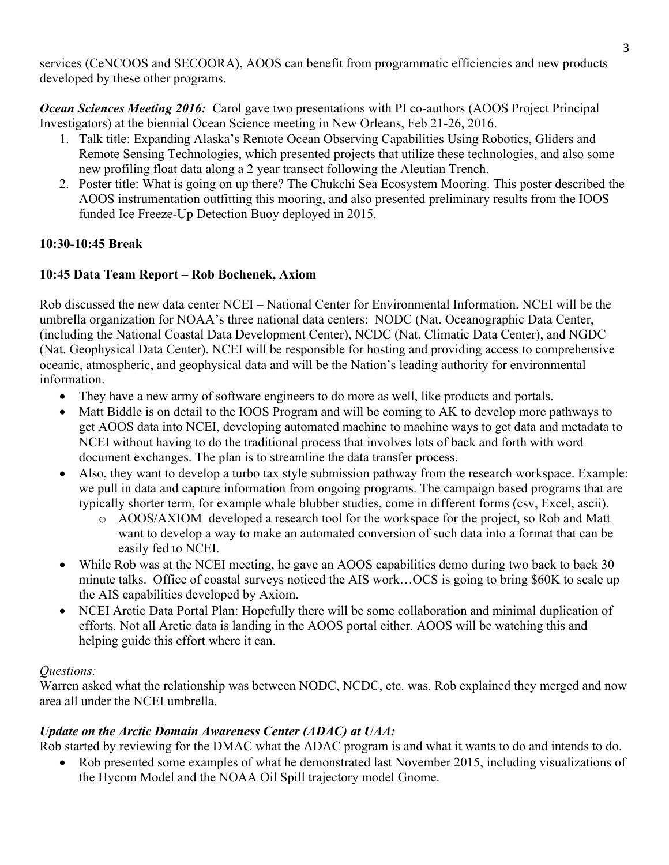services (CeNCOOS and SECOORA), AOOS can benefit from programmatic efficiencies and new products developed by these other programs.

*Ocean Sciences Meeting 2016:* Carol gave two presentations with PI co-authors (AOOS Project Principal Investigators) at the biennial Ocean Science meeting in New Orleans, Feb 21-26, 2016.

- 1. Talk title: Expanding Alaska's Remote Ocean Observing Capabilities Using Robotics, Gliders and Remote Sensing Technologies, which presented projects that utilize these technologies, and also some new profiling float data along a 2 year transect following the Aleutian Trench.
- 2. Poster title: What is going on up there? The Chukchi Sea Ecosystem Mooring. This poster described the AOOS instrumentation outfitting this mooring, and also presented preliminary results from the IOOS funded Ice Freeze-Up Detection Buoy deployed in 2015.

## **10:30-10:45 Break**

# **10:45 Data Team Report – Rob Bochenek, Axiom**

Rob discussed the new data center NCEI – National Center for Environmental Information. NCEI will be the umbrella organization for NOAA's three national data centers: NODC (Nat. Oceanographic Data Center, (including the National Coastal Data Development Center), NCDC (Nat. Climatic Data Center), and NGDC (Nat. Geophysical Data Center). NCEI will be responsible for hosting and providing access to comprehensive oceanic, atmospheric, and geophysical data and will be the Nation's leading authority for environmental information.

- They have a new army of software engineers to do more as well, like products and portals.
- Matt Biddle is on detail to the IOOS Program and will be coming to AK to develop more pathways to get AOOS data into NCEI, developing automated machine to machine ways to get data and metadata to NCEI without having to do the traditional process that involves lots of back and forth with word document exchanges. The plan is to streamline the data transfer process.
- Also, they want to develop a turbo tax style submission pathway from the research workspace. Example: we pull in data and capture information from ongoing programs. The campaign based programs that are typically shorter term, for example whale blubber studies, come in different forms (csv, Excel, ascii).
	- o AOOS/AXIOM developed a research tool for the workspace for the project, so Rob and Matt want to develop a way to make an automated conversion of such data into a format that can be easily fed to NCEI.
- While Rob was at the NCEI meeting, he gave an AOOS capabilities demo during two back to back 30 minute talks. Office of coastal surveys noticed the AIS work…OCS is going to bring \$60K to scale up the AIS capabilities developed by Axiom.
- NCEI Arctic Data Portal Plan: Hopefully there will be some collaboration and minimal duplication of efforts. Not all Arctic data is landing in the AOOS portal either. AOOS will be watching this and helping guide this effort where it can.

## *Questions:*

Warren asked what the relationship was between NODC, NCDC, etc. was. Rob explained they merged and now area all under the NCEI umbrella.

## *Update on the Arctic Domain Awareness Center (ADAC) at UAA:*

Rob started by reviewing for the DMAC what the ADAC program is and what it wants to do and intends to do.

• Rob presented some examples of what he demonstrated last November 2015, including visualizations of the Hycom Model and the NOAA Oil Spill trajectory model Gnome.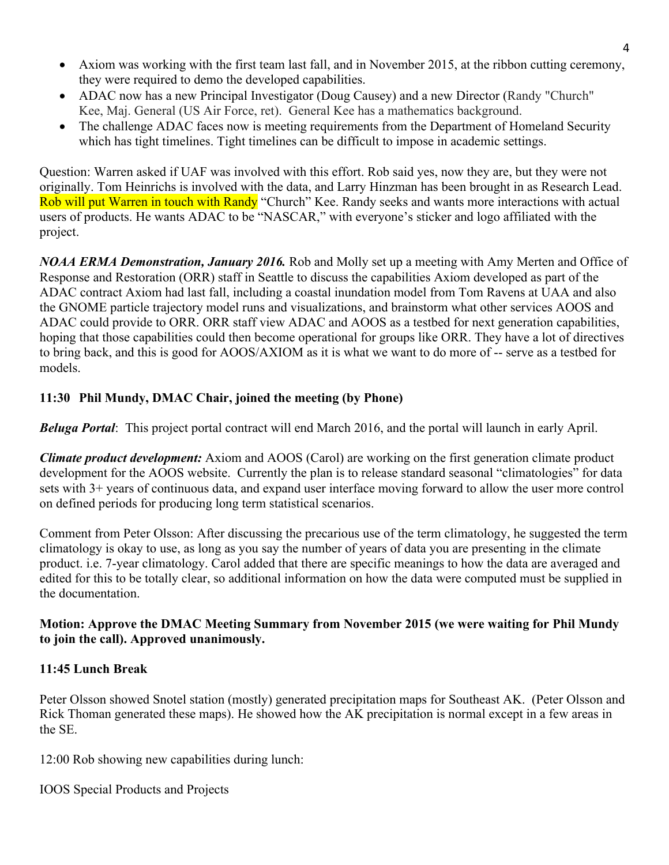- Axiom was working with the first team last fall, and in November 2015, at the ribbon cutting ceremony, they were required to demo the developed capabilities.
- ADAC now has a new Principal Investigator (Doug Causey) and a new Director (Randy "Church" Kee, Maj. General (US Air Force, ret). General Kee has a mathematics background.
- The challenge ADAC faces now is meeting requirements from the Department of Homeland Security which has tight timelines. Tight timelines can be difficult to impose in academic settings.

Question: Warren asked if UAF was involved with this effort. Rob said yes, now they are, but they were not originally. Tom Heinrichs is involved with the data, and Larry Hinzman has been brought in as Research Lead. Rob will put Warren in touch with Randy "Church" Kee. Randy seeks and wants more interactions with actual users of products. He wants ADAC to be "NASCAR," with everyone's sticker and logo affiliated with the project.

*NOAA ERMA Demonstration, January 2016.* Rob and Molly set up a meeting with Amy Merten and Office of Response and Restoration (ORR) staff in Seattle to discuss the capabilities Axiom developed as part of the ADAC contract Axiom had last fall, including a coastal inundation model from Tom Ravens at UAA and also the GNOME particle trajectory model runs and visualizations, and brainstorm what other services AOOS and ADAC could provide to ORR. ORR staff view ADAC and AOOS as a testbed for next generation capabilities, hoping that those capabilities could then become operational for groups like ORR. They have a lot of directives to bring back, and this is good for AOOS/AXIOM as it is what we want to do more of -- serve as a testbed for models.

## **11:30 Phil Mundy, DMAC Chair, joined the meeting (by Phone)**

*Beluga Portal*: This project portal contract will end March 2016, and the portal will launch in early April.

*Climate product development:* Axiom and AOOS (Carol) are working on the first generation climate product development for the AOOS website. Currently the plan is to release standard seasonal "climatologies" for data sets with 3+ years of continuous data, and expand user interface moving forward to allow the user more control on defined periods for producing long term statistical scenarios.

Comment from Peter Olsson: After discussing the precarious use of the term climatology, he suggested the term climatology is okay to use, as long as you say the number of years of data you are presenting in the climate product. i.e. 7-year climatology. Carol added that there are specific meanings to how the data are averaged and edited for this to be totally clear, so additional information on how the data were computed must be supplied in the documentation.

#### **Motion: Approve the DMAC Meeting Summary from November 2015 (we were waiting for Phil Mundy to join the call). Approved unanimously.**

#### **11:45 Lunch Break**

Peter Olsson showed Snotel station (mostly) generated precipitation maps for Southeast AK. (Peter Olsson and Rick Thoman generated these maps). He showed how the AK precipitation is normal except in a few areas in the SE.

12:00 Rob showing new capabilities during lunch:

IOOS Special Products and Projects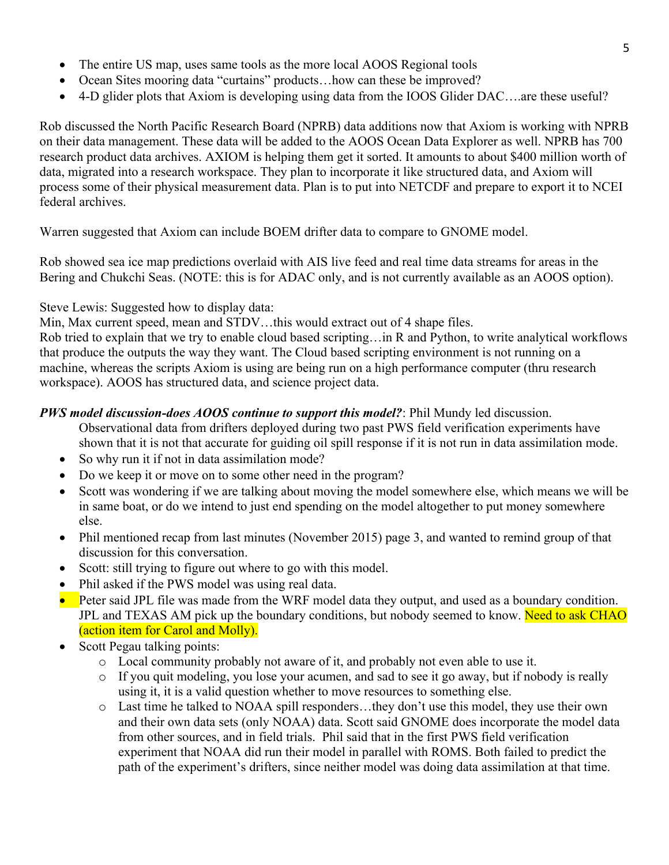- The entire US map, uses same tools as the more local AOOS Regional tools
- Ocean Sites mooring data "curtains" products... how can these be improved?
- 4-D glider plots that Axiom is developing using data from the IOOS Glider DAC....are these useful?

Rob discussed the North Pacific Research Board (NPRB) data additions now that Axiom is working with NPRB on their data management. These data will be added to the AOOS Ocean Data Explorer as well. NPRB has 700 research product data archives. AXIOM is helping them get it sorted. It amounts to about \$400 million worth of data, migrated into a research workspace. They plan to incorporate it like structured data, and Axiom will process some of their physical measurement data. Plan is to put into NETCDF and prepare to export it to NCEI federal archives.

Warren suggested that Axiom can include BOEM drifter data to compare to GNOME model.

Rob showed sea ice map predictions overlaid with AIS live feed and real time data streams for areas in the Bering and Chukchi Seas. (NOTE: this is for ADAC only, and is not currently available as an AOOS option).

### Steve Lewis: Suggested how to display data:

Min, Max current speed, mean and STDV…this would extract out of 4 shape files.

Rob tried to explain that we try to enable cloud based scripting…in R and Python, to write analytical workflows that produce the outputs the way they want. The Cloud based scripting environment is not running on a machine, whereas the scripts Axiom is using are being run on a high performance computer (thru research workspace). AOOS has structured data, and science project data.

### *PWS model discussion-does AOOS continue to support this model?*: Phil Mundy led discussion.

- Observational data from drifters deployed during two past PWS field verification experiments have shown that it is not that accurate for guiding oil spill response if it is not run in data assimilation mode.
- So why run it if not in data assimilation mode?
- Do we keep it or move on to some other need in the program?
- Scott was wondering if we are talking about moving the model somewhere else, which means we will be in same boat, or do we intend to just end spending on the model altogether to put money somewhere else.
- Phil mentioned recap from last minutes (November 2015) page 3, and wanted to remind group of that discussion for this conversation.
- Scott: still trying to figure out where to go with this model.
- Phil asked if the PWS model was using real data.
- Peter said JPL file was made from the WRF model data they output, and used as a boundary condition. JPL and TEXAS AM pick up the boundary conditions, but nobody seemed to know. Need to ask CHAO (action item for Carol and Molly).
- Scott Pegau talking points:
	- o Local community probably not aware of it, and probably not even able to use it.
	- $\circ$  If you quit modeling, you lose your acumen, and sad to see it go away, but if nobody is really using it, it is a valid question whether to move resources to something else.
	- o Last time he talked to NOAA spill responders…they don't use this model, they use their own and their own data sets (only NOAA) data. Scott said GNOME does incorporate the model data from other sources, and in field trials. Phil said that in the first PWS field verification experiment that NOAA did run their model in parallel with ROMS. Both failed to predict the path of the experiment's drifters, since neither model was doing data assimilation at that time.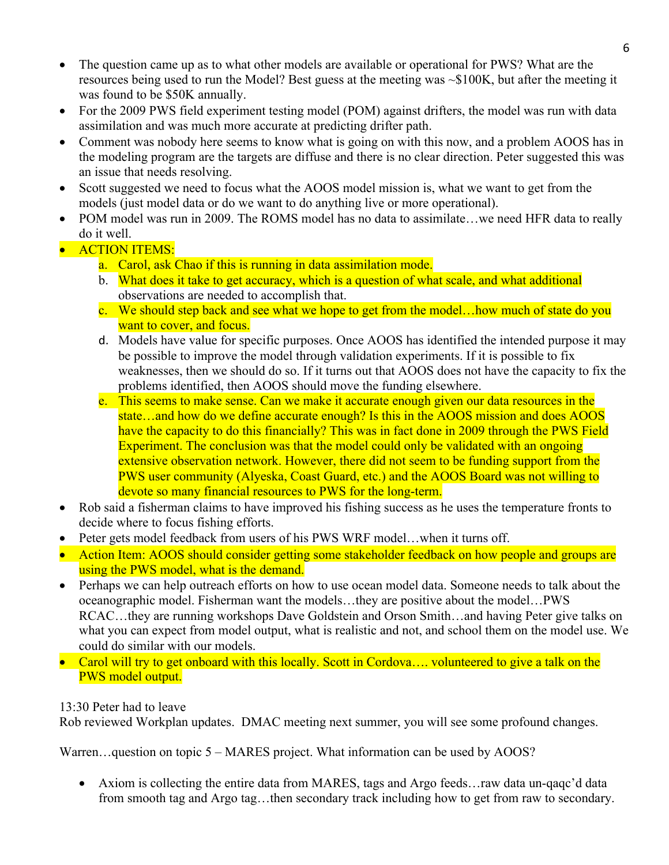- The question came up as to what other models are available or operational for PWS? What are the resources being used to run the Model? Best guess at the meeting was ~\$100K, but after the meeting it was found to be \$50K annually.
- For the 2009 PWS field experiment testing model (POM) against drifters, the model was run with data assimilation and was much more accurate at predicting drifter path.
- Comment was nobody here seems to know what is going on with this now, and a problem AOOS has in the modeling program are the targets are diffuse and there is no clear direction. Peter suggested this was an issue that needs resolving.
- Scott suggested we need to focus what the AOOS model mission is, what we want to get from the models (just model data or do we want to do anything live or more operational).
- POM model was run in 2009. The ROMS model has no data to assimilate…we need HFR data to really do it well.
- **ACTION ITEMS:** 
	- a. Carol, ask Chao if this is running in data assimilation mode.
	- b. What does it take to get accuracy, which is a question of what scale, and what additional observations are needed to accomplish that.
	- c. We should step back and see what we hope to get from the model…how much of state do you want to cover, and focus.
	- d. Models have value for specific purposes. Once AOOS has identified the intended purpose it may be possible to improve the model through validation experiments. If it is possible to fix weaknesses, then we should do so. If it turns out that AOOS does not have the capacity to fix the problems identified, then AOOS should move the funding elsewhere.
	- e. This seems to make sense. Can we make it accurate enough given our data resources in the state…and how do we define accurate enough? Is this in the AOOS mission and does AOOS have the capacity to do this financially? This was in fact done in 2009 through the PWS Field Experiment. The conclusion was that the model could only be validated with an ongoing extensive observation network. However, there did not seem to be funding support from the PWS user community (Alyeska, Coast Guard, etc.) and the AOOS Board was not willing to devote so many financial resources to PWS for the long-term.
- Rob said a fisherman claims to have improved his fishing success as he uses the temperature fronts to decide where to focus fishing efforts.
- Peter gets model feedback from users of his PWS WRF model... when it turns off.
- Action Item: AOOS should consider getting some stakeholder feedback on how people and groups are using the PWS model, what is the demand.
- Perhaps we can help outreach efforts on how to use ocean model data. Someone needs to talk about the oceanographic model. Fisherman want the models…they are positive about the model…PWS RCAC...they are running workshops Dave Goldstein and Orson Smith...and having Peter give talks on what you can expect from model output, what is realistic and not, and school them on the model use. We could do similar with our models.
- Carol will try to get onboard with this locally. Scott in Cordova.... volunteered to give a talk on the PWS model output.

13:30 Peter had to leave

Rob reviewed Workplan updates. DMAC meeting next summer, you will see some profound changes.

Warren...question on topic 5 – MARES project. What information can be used by AOOS?

• Axiom is collecting the entire data from MARES, tags and Argo feeds... raw data un-qaqc'd data from smooth tag and Argo tag…then secondary track including how to get from raw to secondary.